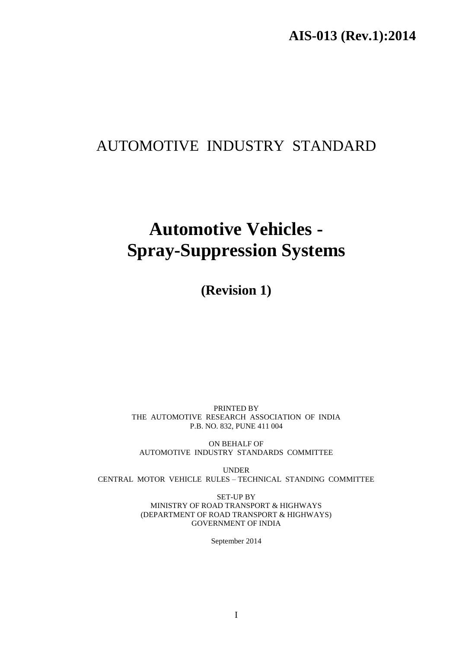# AUTOMOTIVE INDUSTRY STANDARD

# **Automotive Vehicles - Spray-Suppression Systems**

**(Revision 1)**

PRINTED BY THE AUTOMOTIVE RESEARCH ASSOCIATION OF INDIA P.B. NO. 832, PUNE 411 004

ON BEHALF OF AUTOMOTIVE INDUSTRY STANDARDS COMMITTEE

UNDER CENTRAL MOTOR VEHICLE RULES – TECHNICAL STANDING COMMITTEE

> SET-UP BY MINISTRY OF ROAD TRANSPORT & HIGHWAYS (DEPARTMENT OF ROAD TRANSPORT & HIGHWAYS) GOVERNMENT OF INDIA

> > September 2014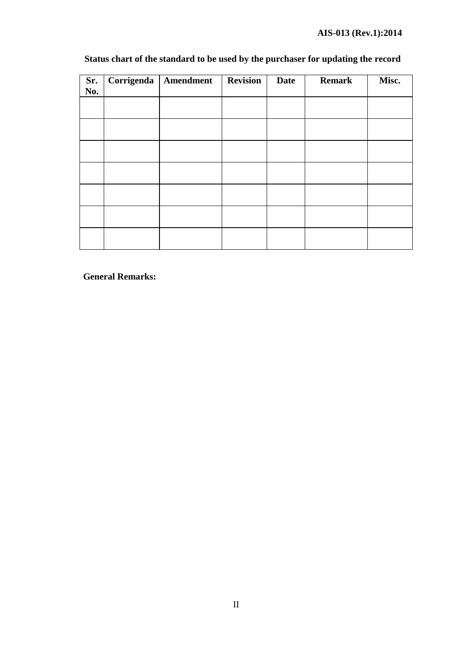# **AIS-013 (Rev.1):2014**

| Sr.<br>No. | Corrigenda | Amendment | <b>Revision</b> | <b>Date</b> | <b>Remark</b> | Misc. |
|------------|------------|-----------|-----------------|-------------|---------------|-------|
|            |            |           |                 |             |               |       |
|            |            |           |                 |             |               |       |
|            |            |           |                 |             |               |       |
|            |            |           |                 |             |               |       |
|            |            |           |                 |             |               |       |
|            |            |           |                 |             |               |       |
|            |            |           |                 |             |               |       |
|            |            |           |                 |             |               |       |

# **Status chart of the standard to be used by the purchaser for updating the record**

**General Remarks:**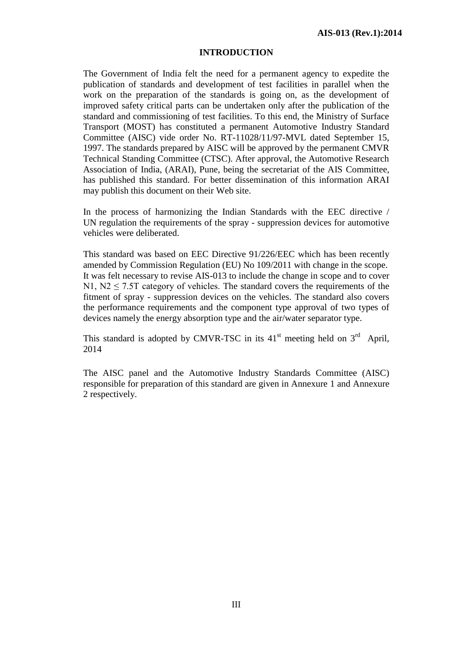#### **INTRODUCTION**

The Government of India felt the need for a permanent agency to expedite the publication of standards and development of test facilities in parallel when the work on the preparation of the standards is going on, as the development of improved safety critical parts can be undertaken only after the publication of the standard and commissioning of test facilities. To this end, the Ministry of Surface Transport (MOST) has constituted a permanent Automotive Industry Standard Committee (AISC) vide order No. RT-11028/11/97-MVL dated September 15, 1997. The standards prepared by AISC will be approved by the permanent CMVR Technical Standing Committee (CTSC). After approval, the Automotive Research Association of India, (ARAI), Pune, being the secretariat of the AIS Committee, has published this standard. For better dissemination of this information ARAI may publish this document on their Web site.

In the process of harmonizing the Indian Standards with the EEC directive / UN regulation the requirements of the spray - suppression devices for automotive vehicles were deliberated.

This standard was based on EEC Directive 91/226/EEC which has been recently amended by Commission Regulation (EU) No 109/2011 with change in the scope. It was felt necessary to revise AIS-013 to include the change in scope and to cover N1,  $N2 \le 7.5T$  category of vehicles. The standard covers the requirements of the fitment of spray - suppression devices on the vehicles. The standard also covers the performance requirements and the component type approval of two types of devices namely the energy absorption type and the air/water separator type.

This standard is adopted by CMVR-TSC in its  $41<sup>st</sup>$  meeting held on  $3<sup>rd</sup>$  April, 2014

The AISC panel and the Automotive Industry Standards Committee (AISC) responsible for preparation of this standard are given in Annexure 1 and Annexure 2 respectively.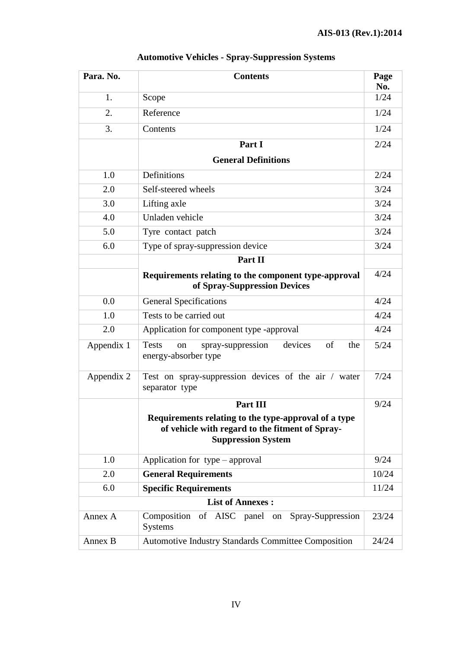| Para. No.               | <b>Contents</b>                                                                                                                      |             |  |
|-------------------------|--------------------------------------------------------------------------------------------------------------------------------------|-------------|--|
| 1.                      | Scope                                                                                                                                | No.<br>1/24 |  |
| 2.                      | Reference                                                                                                                            | 1/24        |  |
| 3.                      | Contents                                                                                                                             | 1/24        |  |
|                         | Part I                                                                                                                               | 2/24        |  |
|                         | <b>General Definitions</b>                                                                                                           |             |  |
| 1.0                     | Definitions                                                                                                                          | 2/24        |  |
| 2.0                     | Self-steered wheels                                                                                                                  | 3/24        |  |
| 3.0                     | Lifting axle                                                                                                                         | 3/24        |  |
| 4.0                     | Unladen vehicle                                                                                                                      | 3/24        |  |
| 5.0                     | Tyre contact patch                                                                                                                   | 3/24        |  |
| 6.0                     | Type of spray-suppression device                                                                                                     | 3/24        |  |
|                         | Part II                                                                                                                              |             |  |
|                         | Requirements relating to the component type-approval<br>of Spray-Suppression Devices                                                 | 4/24        |  |
| 0.0                     | <b>General Specifications</b>                                                                                                        | 4/24        |  |
| 1.0                     | Tests to be carried out                                                                                                              | 4/24        |  |
| 2.0                     | Application for component type -approval                                                                                             | 4/24        |  |
| Appendix 1              | <b>Tests</b><br>devices<br>of<br>spray-suppression<br>the<br>on<br>energy-absorber type                                              | 5/24        |  |
| Appendix 2              | Test on spray-suppression devices of the air / water<br>separator type                                                               | 7/24        |  |
|                         | Part III                                                                                                                             | 9/24        |  |
|                         | Requirements relating to the type-approval of a type<br>of vehicle with regard to the fitment of Spray-<br><b>Suppression System</b> |             |  |
| 1.0                     | Application for type – approval                                                                                                      | 9/24        |  |
| 2.0                     | <b>General Requirements</b>                                                                                                          | 10/24       |  |
| 6.0                     | <b>Specific Requirements</b>                                                                                                         | 11/24       |  |
| <b>List of Annexes:</b> |                                                                                                                                      |             |  |
| Annex A                 | Composition of AISC panel on<br>Spray-Suppression<br><b>Systems</b>                                                                  | 23/24       |  |
| Annex B                 | <b>Automotive Industry Standards Committee Composition</b>                                                                           | 24/24       |  |

# **Automotive Vehicles - Spray-Suppression Systems**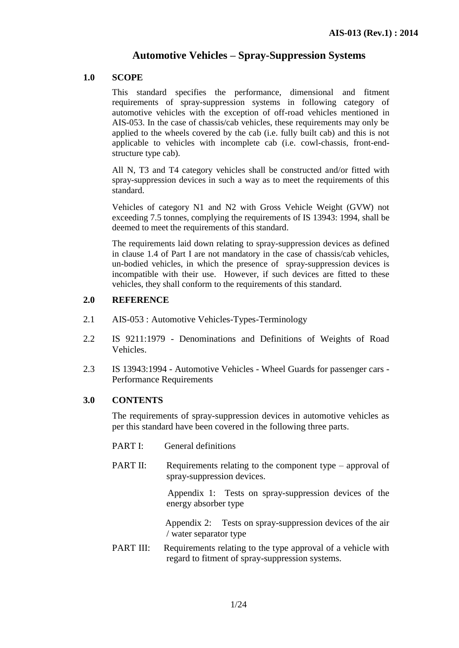## **Automotive Vehicles – Spray-Suppression Systems**

## **1.0 SCOPE**

This standard specifies the performance, dimensional and fitment requirements of spray-suppression systems in following category of automotive vehicles with the exception of off-road vehicles mentioned in AIS-053. In the case of chassis/cab vehicles, these requirements may only be applied to the wheels covered by the cab (i.e. fully built cab) and this is not applicable to vehicles with incomplete cab (i.e. cowl-chassis, front-endstructure type cab).

All N, T3 and T4 category vehicles shall be constructed and/or fitted with spray-suppression devices in such a way as to meet the requirements of this standard.

Vehicles of category N1 and N2 with Gross Vehicle Weight (GVW) not exceeding 7.5 tonnes, complying the requirements of IS 13943: 1994, shall be deemed to meet the requirements of this standard.

The requirements laid down relating to spray-suppression devices as defined in clause 1.4 of Part I are not mandatory in the case of chassis/cab vehicles, un-bodied vehicles, in which the presence of spray-suppression devices is incompatible with their use. However, if such devices are fitted to these vehicles, they shall conform to the requirements of this standard.

## **2.0 REFERENCE**

- 2.1 AIS-053 : Automotive Vehicles-Types-Terminology
- 2.2 IS 9211:1979 Denominations and Definitions of Weights of Road Vehicles.
- 2.3 IS 13943:1994 Automotive Vehicles Wheel Guards for passenger cars Performance Requirements

## **3.0 CONTENTS**

The requirements of spray-suppression devices in automotive vehicles as per this standard have been covered in the following three parts.

- PART I: General definitions
- PART II: Requirements relating to the component type approval of spray-suppression devices.

 Appendix 1: Tests on spray-suppression devices of the energy absorber type

 Appendix 2: Tests on spray-suppression devices of the air / water separator type

PART III: Requirements relating to the type approval of a vehicle with regard to fitment of spray-suppression systems.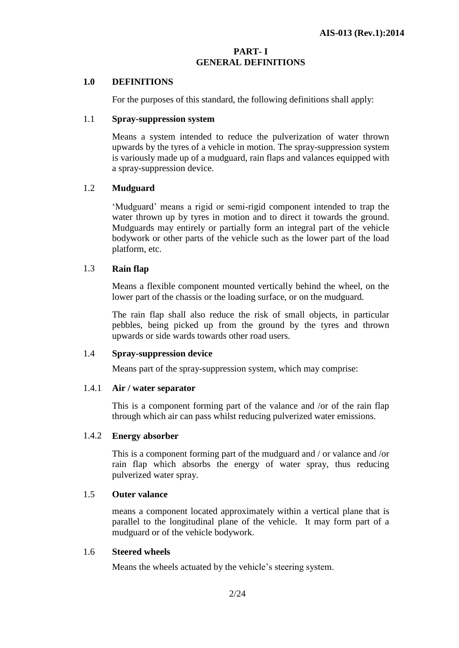## **PART- I GENERAL DEFINITIONS**

## **1.0 DEFINITIONS**

For the purposes of this standard, the following definitions shall apply:

#### 1.1 **Spray-suppression system**

Means a system intended to reduce the pulverization of water thrown upwards by the tyres of a vehicle in motion. The spray-suppression system is variously made up of a mudguard, rain flaps and valances equipped with a spray-suppression device.

#### 1.2 **Mudguard**

'Mudguard' means a rigid or semi-rigid component intended to trap the water thrown up by tyres in motion and to direct it towards the ground. Mudguards may entirely or partially form an integral part of the vehicle bodywork or other parts of the vehicle such as the lower part of the load platform, etc.

#### 1.3 **Rain flap**

Means a flexible component mounted vertically behind the wheel, on the lower part of the chassis or the loading surface, or on the mudguard.

The rain flap shall also reduce the risk of small objects, in particular pebbles, being picked up from the ground by the tyres and thrown upwards or side wards towards other road users.

#### 1.4 **Spray-suppression device**

Means part of the spray-suppression system, which may comprise:

#### 1.4.1 **Air / water separator**

This is a component forming part of the valance and /or of the rain flap through which air can pass whilst reducing pulverized water emissions.

#### 1.4.2 **Energy absorber**

This is a component forming part of the mudguard and / or valance and /or rain flap which absorbs the energy of water spray, thus reducing pulverized water spray.

## 1.5 **Outer valance**

means a component located approximately within a vertical plane that is parallel to the longitudinal plane of the vehicle. It may form part of a mudguard or of the vehicle bodywork.

## 1.6 **Steered wheels**

Means the wheels actuated by the vehicle's steering system.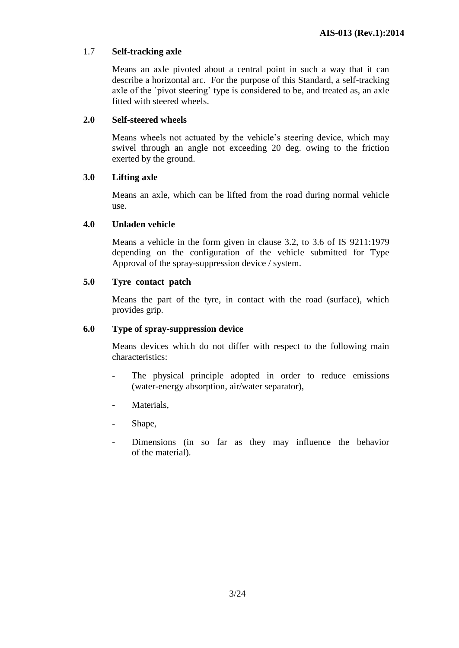## 1.7 **Self-tracking axle**

Means an axle pivoted about a central point in such a way that it can describe a horizontal arc. For the purpose of this Standard, a self-tracking axle of the `pivot steering' type is considered to be, and treated as, an axle fitted with steered wheels.

## **2.0 Self-steered wheels**

Means wheels not actuated by the vehicle's steering device, which may swivel through an angle not exceeding 20 deg. owing to the friction exerted by the ground.

## **3.0 Lifting axle**

Means an axle, which can be lifted from the road during normal vehicle use.

## **4.0 Unladen vehicle**

Means a vehicle in the form given in clause 3.2, to 3.6 of IS 9211:1979 depending on the configuration of the vehicle submitted for Type Approval of the spray-suppression device / system.

## **5.0 Tyre contact patch**

Means the part of the tyre, in contact with the road (surface), which provides grip.

## **6.0 Type of spray-suppression device**

Means devices which do not differ with respect to the following main characteristics:

- The physical principle adopted in order to reduce emissions (water-energy absorption, air/water separator),
- Materials,
- Shape,
- Dimensions (in so far as they may influence the behavior of the material).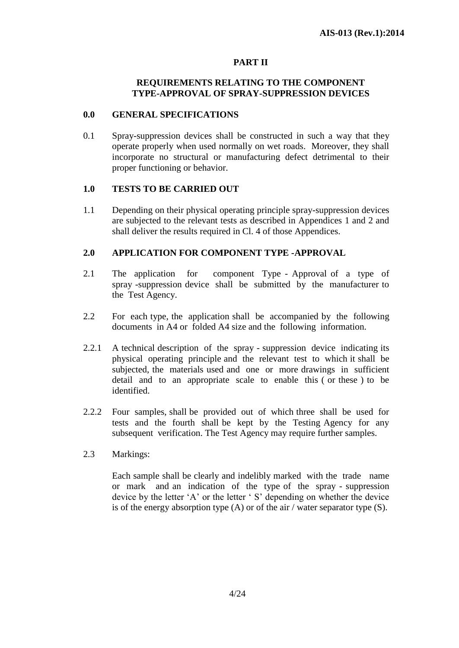## **PART II**

## **REQUIREMENTS RELATING TO THE COMPONENT TYPE-APPROVAL OF SPRAY-SUPPRESSION DEVICES**

#### **0.0 GENERAL SPECIFICATIONS**

0.1 Spray-suppression devices shall be constructed in such a way that they operate properly when used normally on wet roads. Moreover, they shall incorporate no structural or manufacturing defect detrimental to their proper functioning or behavior.

#### **1.0 TESTS TO BE CARRIED OUT**

1.1 Depending on their physical operating principle spray-suppression devices are subjected to the relevant tests as described in Appendices 1 and 2 and shall deliver the results required in Cl. 4 of those Appendices.

## **2.0 APPLICATION FOR COMPONENT TYPE -APPROVAL**

- 2.1 The application for component Type Approval of a type of spray -suppression device shall be submitted by the manufacturer to the Test Agency.
- 2.2 For each type, the application shall be accompanied by the following documents in A4 or folded A4 size and the following information.
- 2.2.1 A technical description of the spray suppression device indicating its physical operating principle and the relevant test to which it shall be subjected, the materials used and one or more drawings in sufficient detail and to an appropriate scale to enable this ( or these ) to be identified.
- 2.2.2 Four samples, shall be provided out of which three shall be used for tests and the fourth shall be kept by the Testing Agency for any subsequent verification. The Test Agency may require further samples.
- 2.3 Markings:

Each sample shall be clearly and indelibly marked with the trade name or mark and an indication of the type of the spray - suppression device by the letter 'A' or the letter ' S' depending on whether the device is of the energy absorption type (A) or of the air / water separator type (S).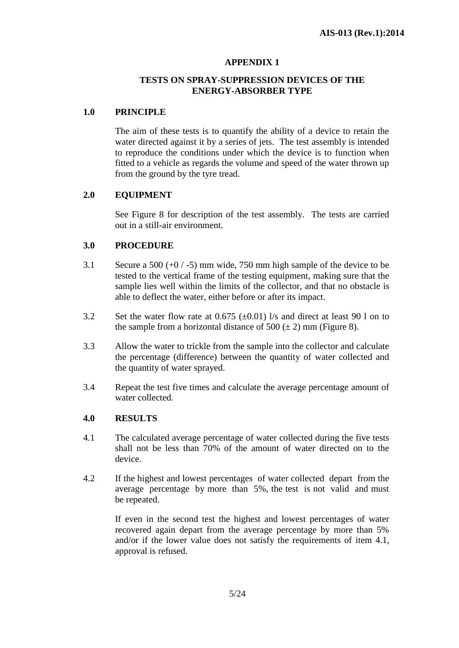## **APPENDIX 1**

## **TESTS ON SPRAY-SUPPRESSION DEVICES OF THE ENERGY-ABSORBER TYPE**

## **1.0 PRINCIPLE**

The aim of these tests is to quantify the ability of a device to retain the water directed against it by a series of jets. The test assembly is intended to reproduce the conditions under which the device is to function when fitted to a vehicle as regards the volume and speed of the water thrown up from the ground by the tyre tread.

## **2.0 EQUIPMENT**

See Figure 8 for description of the test assembly. The tests are carried out in a still-air environment.

## **3.0 PROCEDURE**

- 3.1 Secure a 500 (+0 / -5) mm wide, 750 mm high sample of the device to be tested to the vertical frame of the testing equipment, making sure that the sample lies well within the limits of the collector, and that no obstacle is able to deflect the water, either before or after its impact.
- 3.2 Set the water flow rate at  $0.675$  ( $\pm 0.01$ ) l/s and direct at least 90 l on to the sample from a horizontal distance of  $500 (\pm 2)$  mm (Figure 8).
- 3.3 Allow the water to trickle from the sample into the collector and calculate the percentage (difference) between the quantity of water collected and the quantity of water sprayed.
- 3.4 Repeat the test five times and calculate the average percentage amount of water collected.

#### **4.0 RESULTS**

- 4.1 The calculated average percentage of water collected during the five tests shall not be less than 70% of the amount of water directed on to the device.
- 4.2 If the highest and lowest percentages of water collected depart from the average percentage by more than 5%, the test is not valid and must be repeated.

If even in the second test the highest and lowest percentages of water recovered again depart from the average percentage by more than 5% and/or if the lower value does not satisfy the requirements of item 4.1, approval is refused.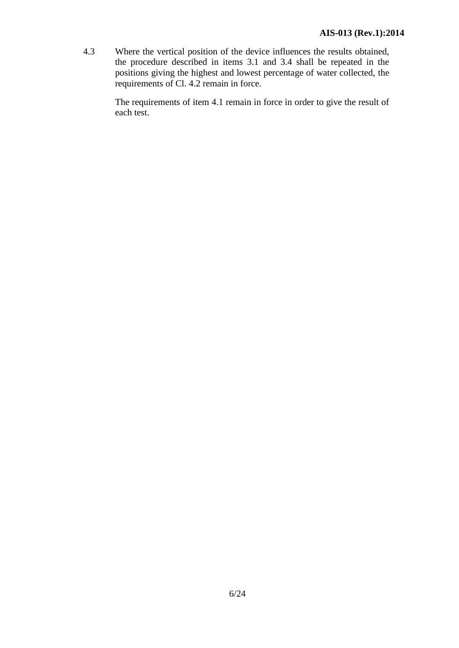4.3 Where the vertical position of the device influences the results obtained, the procedure described in items 3.1 and 3.4 shall be repeated in the positions giving the highest and lowest percentage of water collected, the requirements of Cl. 4.2 remain in force.

> The requirements of item 4.1 remain in force in order to give the result of each test.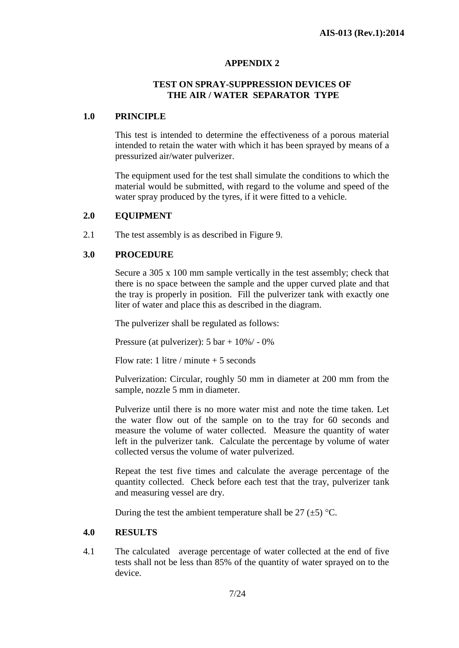## **APPENDIX 2**

## **TEST ON SPRAY-SUPPRESSION DEVICES OF THE AIR / WATER SEPARATOR TYPE**

## **1.0 PRINCIPLE**

This test is intended to determine the effectiveness of a porous material intended to retain the water with which it has been sprayed by means of a pressurized air/water pulverizer.

The equipment used for the test shall simulate the conditions to which the material would be submitted, with regard to the volume and speed of the water spray produced by the tyres, if it were fitted to a vehicle.

#### **2.0 EQUIPMENT**

2.1 The test assembly is as described in Figure 9.

## **3.0 PROCEDURE**

Secure a 305 x 100 mm sample vertically in the test assembly; check that there is no space between the sample and the upper curved plate and that the tray is properly in position. Fill the pulverizer tank with exactly one liter of water and place this as described in the diagram.

The pulverizer shall be regulated as follows:

Pressure (at pulverizer): 5 bar + 10%/ - 0%

Flow rate: 1 litre / minute  $+5$  seconds

Pulverization: Circular, roughly 50 mm in diameter at 200 mm from the sample, nozzle 5 mm in diameter.

Pulverize until there is no more water mist and note the time taken. Let the water flow out of the sample on to the tray for 60 seconds and measure the volume of water collected. Measure the quantity of water left in the pulverizer tank. Calculate the percentage by volume of water collected versus the volume of water pulverized.

Repeat the test five times and calculate the average percentage of the quantity collected. Check before each test that the tray, pulverizer tank and measuring vessel are dry.

During the test the ambient temperature shall be  $27 (\pm 5)$  °C.

#### **4.0 RESULTS**

4.1 The calculated average percentage of water collected at the end of five tests shall not be less than 85% of the quantity of water sprayed on to the device.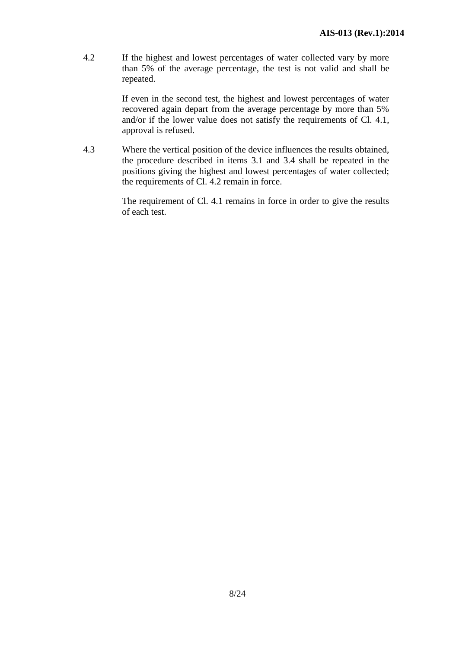4.2 If the highest and lowest percentages of water collected vary by more than 5% of the average percentage, the test is not valid and shall be repeated.

> If even in the second test, the highest and lowest percentages of water recovered again depart from the average percentage by more than 5% and/or if the lower value does not satisfy the requirements of Cl. 4.1, approval is refused.

4.3 Where the vertical position of the device influences the results obtained, the procedure described in items 3.1 and 3.4 shall be repeated in the positions giving the highest and lowest percentages of water collected; the requirements of Cl. 4.2 remain in force.

> The requirement of Cl. 4.1 remains in force in order to give the results of each test.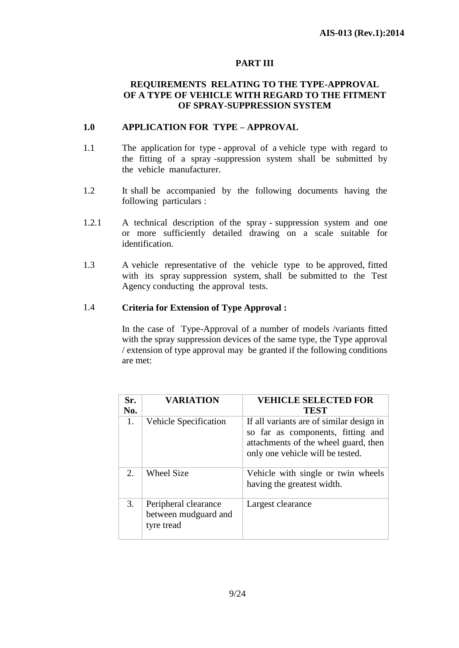## **PART III**

## **REQUIREMENTS RELATING TO THE TYPE-APPROVAL OF A TYPE OF VEHICLE WITH REGARD TO THE FITMENT OF SPRAY-SUPPRESSION SYSTEM**

## **1.0 APPLICATION FOR TYPE – APPROVAL**

- 1.1 The application for type approval of a vehicle type with regard to the fitting of a spray -suppression system shall be submitted by the vehicle manufacturer.
- 1.2 It shall be accompanied by the following documents having the following particulars :
- 1.2.1 A technical description of the spray suppression system and one or more sufficiently detailed drawing on a scale suitable for identification.
- 1.3 A vehicle representative of the vehicle type to be approved, fitted with its spray suppression system, shall be submitted to the Test Agency conducting the approval tests.

## 1.4 **Criteria for Extension of Type Approval :**

In the case of Type-Approval of a number of models /variants fitted with the spray suppression devices of the same type, the Type approval / extension of type approval may be granted if the following conditions are met:

| Sr.<br>No. | <b>VARIATION</b>                                           | <b>VEHICLE SELECTED FOR</b><br><b>TEST</b>                                                                                                                |
|------------|------------------------------------------------------------|-----------------------------------------------------------------------------------------------------------------------------------------------------------|
| 1.         | Vehicle Specification                                      | If all variants are of similar design in<br>so far as components, fitting and<br>attachments of the wheel guard, then<br>only one vehicle will be tested. |
| 2.         | <b>Wheel Size</b>                                          | Vehicle with single or twin wheels<br>having the greatest width.                                                                                          |
| 3.         | Peripheral clearance<br>between mudguard and<br>tyre tread | Largest clearance                                                                                                                                         |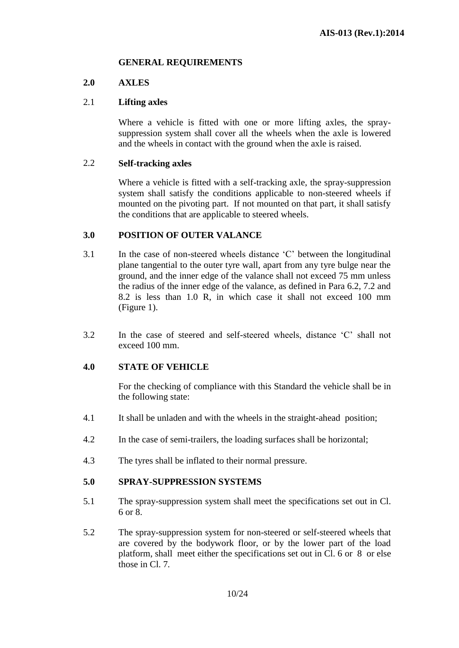## **GENERAL REQUIREMENTS**

## **2.0 AXLES**

## 2.1 **Lifting axles**

Where a vehicle is fitted with one or more lifting axles, the spraysuppression system shall cover all the wheels when the axle is lowered and the wheels in contact with the ground when the axle is raised.

#### 2.2 **Self-tracking axles**

Where a vehicle is fitted with a self-tracking axle, the spray-suppression system shall satisfy the conditions applicable to non-steered wheels if mounted on the pivoting part. If not mounted on that part, it shall satisfy the conditions that are applicable to steered wheels.

## **3.0 POSITION OF OUTER VALANCE**

- 3.1 In the case of non-steered wheels distance 'C' between the longitudinal plane tangential to the outer tyre wall, apart from any tyre bulge near the ground, and the inner edge of the valance shall not exceed 75 mm unless the radius of the inner edge of the valance, as defined in Para 6.2, 7.2 and 8.2 is less than 1.0 R, in which case it shall not exceed 100 mm (Figure 1).
- 3.2 In the case of steered and self-steered wheels, distance 'C' shall not exceed 100 mm.

## **4.0 STATE OF VEHICLE**

For the checking of compliance with this Standard the vehicle shall be in the following state:

- 4.1 It shall be unladen and with the wheels in the straight-ahead position;
- 4.2 In the case of semi-trailers, the loading surfaces shall be horizontal;
- 4.3 The tyres shall be inflated to their normal pressure.

#### **5.0 SPRAY-SUPPRESSION SYSTEMS**

- 5.1 The spray-suppression system shall meet the specifications set out in Cl. 6 or 8.
- 5.2 The spray-suppression system for non-steered or self-steered wheels that are covered by the bodywork floor, or by the lower part of the load platform, shall meet either the specifications set out in Cl. 6 or 8 or else those in Cl. 7*.*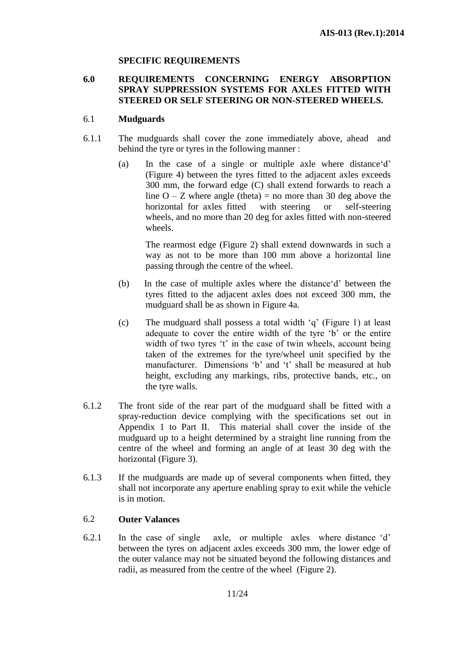## **SPECIFIC REQUIREMENTS**

## **6.0 REQUIREMENTS CONCERNING ENERGY ABSORPTION SPRAY SUPPRESSION SYSTEMS FOR AXLES FITTED WITH STEERED OR SELF STEERING OR NON-STEERED WHEELS.**

## 6.1 **Mudguards**

- 6.1.1 The mudguards shall cover the zone immediately above, ahead and behind the tyre or tyres in the following manner :
	- (a) In the case of a single or multiple axle where distance'd' (Figure 4) between the tyres fitted to the adjacent axles exceeds 300 mm, the forward edge (C) shall extend forwards to reach a line  $O - Z$  where angle (theta) = no more than 30 deg above the horizontal for axles fitted with steering or self-steering wheels, and no more than 20 deg for axles fitted with non-steered wheels.

The rearmost edge (Figure 2) shall extend downwards in such a way as not to be more than 100 mm above a horizontal line passing through the centre of the wheel.

- (b) In the case of multiple axles where the distance'd' between the tyres fitted to the adjacent axles does not exceed 300 mm, the mudguard shall be as shown in Figure 4a.
- (c) The mudguard shall possess a total width 'q' (Figure 1) at least adequate to cover the entire width of the tyre 'b' or the entire width of two tyres 't' in the case of twin wheels, account being taken of the extremes for the tyre/wheel unit specified by the manufacturer. Dimensions 'b' and 't' shall be measured at hub height, excluding any markings, ribs, protective bands, etc., on the tyre walls.
- 6.1.2 The front side of the rear part of the mudguard shall be fitted with a spray-reduction device complying with the specifications set out in Appendix 1 to Part II. This material shall cover the inside of the mudguard up to a height determined by a straight line running from the centre of the wheel and forming an angle of at least 30 deg with the horizontal (Figure 3).
- 6.1.3 If the mudguards are made up of several components when fitted, they shall not incorporate any aperture enabling spray to exit while the vehicle is in motion.

## 6.2 **Outer Valances**

6.2.1 In the case of single axle, or multiple axles where distance 'd' between the tyres on adjacent axles exceeds 300 mm, the lower edge of the outer valance may not be situated beyond the following distances and radii, as measured from the centre of the wheel (Figure 2).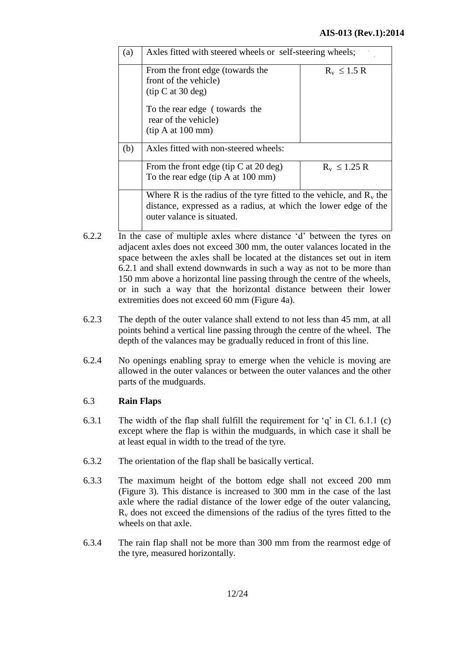| (a) | Axles fitted with steered wheels or self-steering wheels;              |                  |
|-----|------------------------------------------------------------------------|------------------|
|     |                                                                        |                  |
|     | From the front edge (towards the                                       | $R_v \leq 1.5 R$ |
|     | front of the vehicle)                                                  |                  |
|     | (tip C at 30 deg)                                                      |                  |
|     | To the rear edge (towards the                                          |                  |
|     | rear of the vehicle)                                                   |                  |
|     | (tip A at 100 mm)                                                      |                  |
| (b) | Axles fitted with non-steered wheels:                                  |                  |
|     | From the front edge (tip C at 20 deg)                                  | $R_v \le 1.25 R$ |
|     | To the rear edge (tip A at 100 mm)                                     |                  |
|     | Where R is the radius of the tyre fitted to the vehicle, and $R_v$ the |                  |
|     | distance, expressed as a radius, at which the lower edge of the        |                  |
|     | outer valance is situated.                                             |                  |
|     |                                                                        |                  |

- 6.2.2 In the case of multiple axles where distance 'd' between the tyres on adjacent axles does not exceed 300 mm, the outer valances located in the space between the axles shall be located at the distances set out in item 6.2.1 and shall extend downwards in such a way as not to be more than 150 mm above a horizontal line passing through the centre of the wheels, or in such a way that the horizontal distance between their lower extremities does not exceed 60 mm (Figure 4a).
- 6.2.3 The depth of the outer valance shall extend to not less than 45 mm, at all points behind a vertical line passing through the centre of the wheel. The depth of the valances may be gradually reduced in front of this line.
- 6.2.4 No openings enabling spray to emerge when the vehicle is moving are allowed in the outer valances or between the outer valances and the other parts of the mudguards.

## 6.3 **Rain Flaps**

- 6.3.1 The width of the flap shall fulfill the requirement for 'q' in Cl. 6.1.1 (c) except where the flap is within the mudguards, in which case it shall be at least equal in width to the tread of the tyre.
- 6.3.2 The orientation of the flap shall be basically vertical.
- 6.3.3 The maximum height of the bottom edge shall not exceed 200 mm (Figure 3). This distance is increased to 300 mm in the case of the last axle where the radial distance of the lower edge of the outer valancing,  $R<sub>v</sub>$  does not exceed the dimensions of the radius of the tyres fitted to the wheels on that axle.
- 6.3.4 The rain flap shall not be more than 300 mm from the rearmost edge of the tyre, measured horizontally.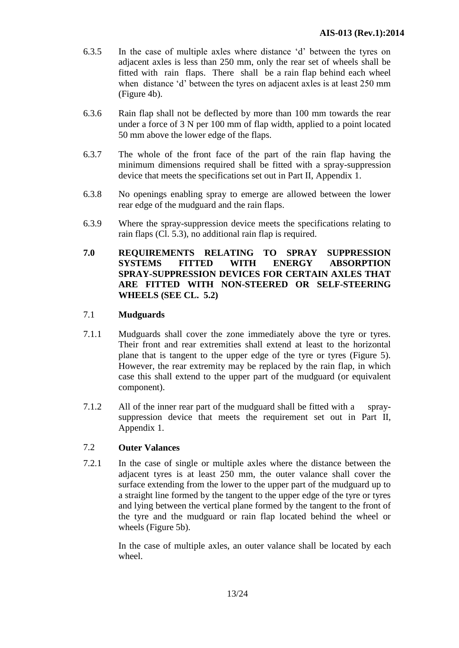- 6.3.5 In the case of multiple axles where distance 'd' between the tyres on adjacent axles is less than 250 mm, only the rear set of wheels shall be fitted with rain flaps. There shall be a rain flap behind each wheel when distance 'd' between the tyres on adjacent axles is at least 250 mm (Figure 4b).
- 6.3.6 Rain flap shall not be deflected by more than 100 mm towards the rear under a force of 3 N per 100 mm of flap width, applied to a point located 50 mm above the lower edge of the flaps.
- 6.3.7 The whole of the front face of the part of the rain flap having the minimum dimensions required shall be fitted with a spray-suppression device that meets the specifications set out in Part II, Appendix 1.
- 6.3.8 No openings enabling spray to emerge are allowed between the lower rear edge of the mudguard and the rain flaps.
- 6.3.9 Where the spray-suppression device meets the specifications relating to rain flaps (Cl. 5.3), no additional rain flap is required.

## **7.0 REQUIREMENTS RELATING TO SPRAY SUPPRESSION SYSTEMS FITTED WITH ENERGY ABSORPTION SPRAY-SUPPRESSION DEVICES FOR CERTAIN AXLES THAT ARE FITTED WITH NON-STEERED OR SELF-STEERING WHEELS (SEE CL. 5.2)**

## 7.1 **Mudguards**

- 7.1.1 Mudguards shall cover the zone immediately above the tyre or tyres. Their front and rear extremities shall extend at least to the horizontal plane that is tangent to the upper edge of the tyre or tyres (Figure 5). However, the rear extremity may be replaced by the rain flap, in which case this shall extend to the upper part of the mudguard (or equivalent component).
- 7.1.2 All of the inner rear part of the mudguard shall be fitted with a spraysuppression device that meets the requirement set out in Part II, Appendix 1.

## 7.2 **Outer Valances**

7.2.1 In the case of single or multiple axles where the distance between the adjacent tyres is at least 250 mm, the outer valance shall cover the surface extending from the lower to the upper part of the mudguard up to a straight line formed by the tangent to the upper edge of the tyre or tyres and lying between the vertical plane formed by the tangent to the front of the tyre and the mudguard or rain flap located behind the wheel or wheels (Figure 5b).

> In the case of multiple axles, an outer valance shall be located by each wheel.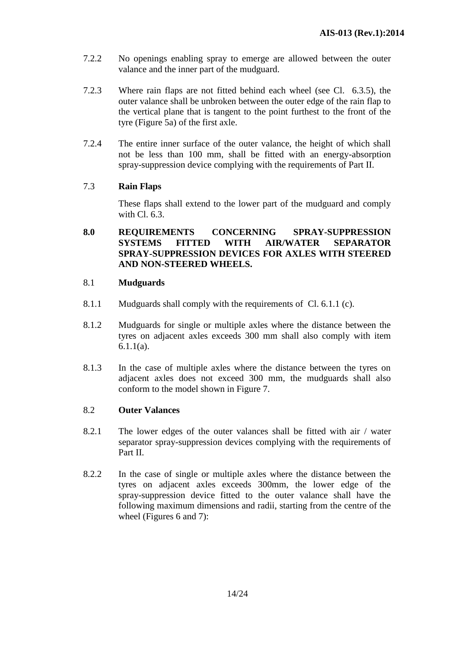- 7.2.2 No openings enabling spray to emerge are allowed between the outer valance and the inner part of the mudguard.
- 7.2.3 Where rain flaps are not fitted behind each wheel (see Cl. 6.3.5), the outer valance shall be unbroken between the outer edge of the rain flap to the vertical plane that is tangent to the point furthest to the front of the tyre (Figure 5a) of the first axle.
- 7.2.4 The entire inner surface of the outer valance, the height of which shall not be less than 100 mm, shall be fitted with an energy-absorption spray-suppression device complying with the requirements of Part II.

## 7.3 **Rain Flaps**

These flaps shall extend to the lower part of the mudguard and comply with Cl. 6.3.

## **8.0 REQUIREMENTS CONCERNING SPRAY-SUPPRESSION SYSTEMS FITTED WITH AIR/WATER SEPARATOR SPRAY-SUPPRESSION DEVICES FOR AXLES WITH STEERED AND NON-STEERED WHEELS.**

## 8.1 **Mudguards**

- 8.1.1 Mudguards shall comply with the requirements of Cl. 6.1.1 (c).
- 8.1.2 Mudguards for single or multiple axles where the distance between the tyres on adjacent axles exceeds 300 mm shall also comply with item 6.1.1(a).
- 8.1.3 In the case of multiple axles where the distance between the tyres on adjacent axles does not exceed 300 mm, the mudguards shall also conform to the model shown in Figure 7.

#### 8.2 **Outer Valances**

- 8.2.1 The lower edges of the outer valances shall be fitted with air / water separator spray-suppression devices complying with the requirements of Part II.
- 8.2.2 In the case of single or multiple axles where the distance between the tyres on adjacent axles exceeds 300mm, the lower edge of the spray-suppression device fitted to the outer valance shall have the following maximum dimensions and radii, starting from the centre of the wheel (Figures 6 and 7):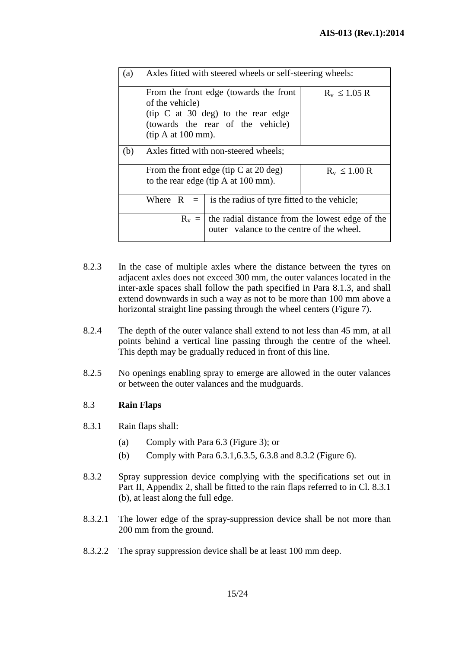| (a) | Axles fitted with steered wheels or self-steering wheels:                                 |                                                                                                                                 |                  |
|-----|-------------------------------------------------------------------------------------------|---------------------------------------------------------------------------------------------------------------------------------|------------------|
|     | of the vehicle)<br>$(tip A at 100 mm)$ .                                                  | From the front edge (towards the front<br>$(iip \, C \, at \, 30 \, deg)$ to the rear edge<br>(towards the rear of the vehicle) | $R_v \le 1.05 R$ |
| (b) | Axles fitted with non-steered wheels;                                                     |                                                                                                                                 |                  |
|     | From the front edge (tip $C$ at 20 deg)<br>to the rear edge (tip A at $100 \text{ mm}$ ). |                                                                                                                                 | $R_v \le 1.00 R$ |
|     |                                                                                           | Where $R =  $ is the radius of tyre fitted to the vehicle;                                                                      |                  |
|     |                                                                                           | $R_v$ =   the radial distance from the lowest edge of the<br>outer valance to the centre of the wheel.                          |                  |

- 8.2.3 In the case of multiple axles where the distance between the tyres on adjacent axles does not exceed 300 mm, the outer valances located in the inter-axle spaces shall follow the path specified in Para 8.1.3, and shall extend downwards in such a way as not to be more than 100 mm above a horizontal straight line passing through the wheel centers (Figure 7).
- 8.2.4 The depth of the outer valance shall extend to not less than 45 mm, at all points behind a vertical line passing through the centre of the wheel. This depth may be gradually reduced in front of this line.
- 8.2.5 No openings enabling spray to emerge are allowed in the outer valances or between the outer valances and the mudguards.

## 8.3 **Rain Flaps**

- 8.3.1 Rain flaps shall:
	- (a) Comply with Para 6.3 (Figure 3); or
	- (b) Comply with Para 6.3.1,6.3.5, 6.3.8 and 8.3.2 (Figure 6).
- 8.3.2 Spray suppression device complying with the specifications set out in Part II, Appendix 2, shall be fitted to the rain flaps referred to in Cl. 8.3.1 (b), at least along the full edge.
- 8.3.2.1 The lower edge of the spray-suppression device shall be not more than 200 mm from the ground.
- 8.3.2.2 The spray suppression device shall be at least 100 mm deep.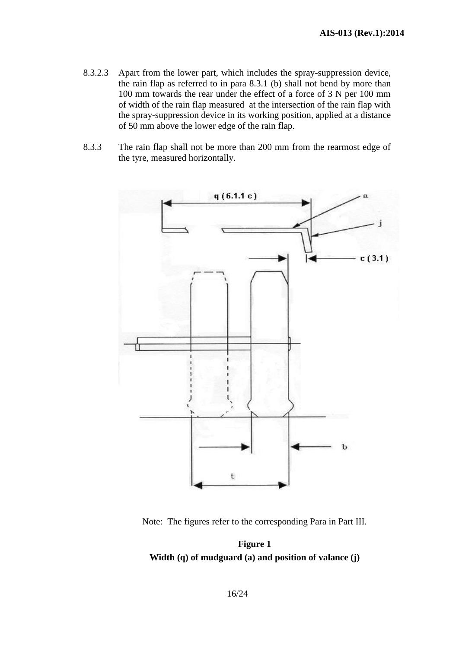- 8.3.2.3 Apart from the lower part, which includes the spray-suppression device, the rain flap as referred to in para 8.3.1 (b) shall not bend by more than 100 mm towards the rear under the effect of a force of 3 N per 100 mm of width of the rain flap measured at the intersection of the rain flap with the spray-suppression device in its working position, applied at a distance of 50 mm above the lower edge of the rain flap.
- 8.3.3 The rain flap shall not be more than 200 mm from the rearmost edge of the tyre, measured horizontally.



Note: The figures refer to the corresponding Para in Part III.

**Figure 1 Width (q) of mudguard (a) and position of valance (j)**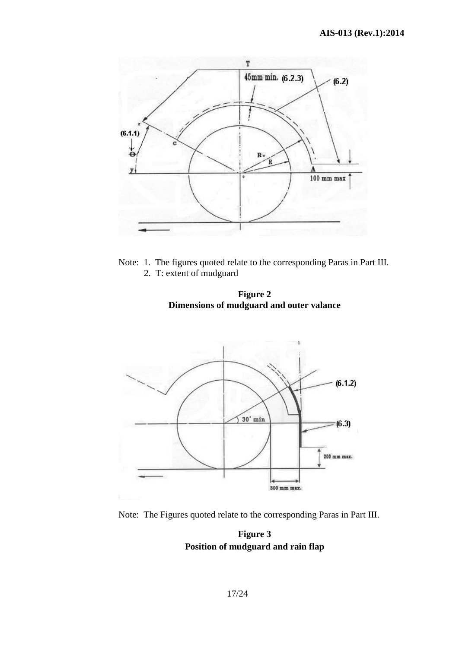

Note: 1. The figures quoted relate to the corresponding Paras in Part III. 2. T: extent of mudguard





Note: The Figures quoted relate to the corresponding Paras in Part III.

**Figure 3 Position of mudguard and rain flap**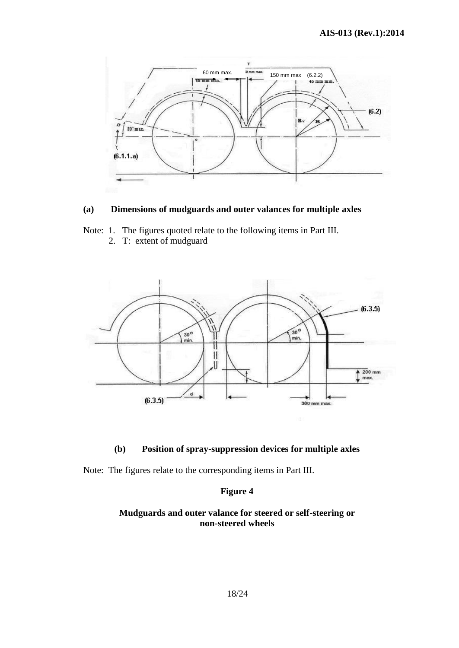

## **(a) Dimensions of mudguards and outer valances for multiple axles**

Note: 1. The figures quoted relate to the following items in Part III.

2. T: extent of mudguard



#### **(b) Position of spray-suppression devices for multiple axles**

Note: The figures relate to the corresponding items in Part III.

#### **Figure 4**

## **Mudguards and outer valance for steered or self-steering or non-steered wheels**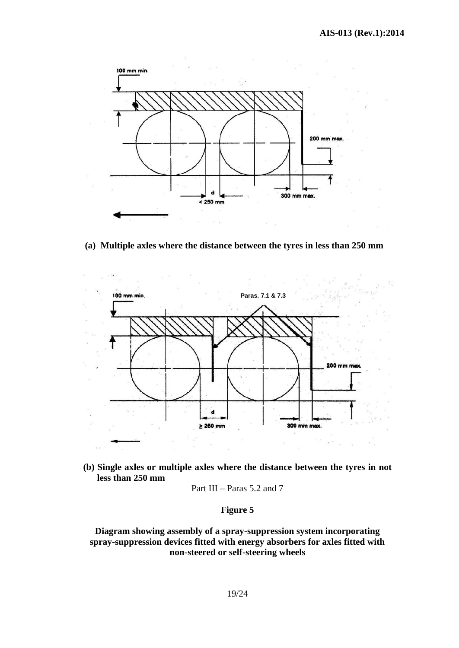

**(a) Multiple axles where the distance between the tyres in less than 250 mm**



**(b) Single axles or multiple axles where the distance between the tyres in not less than 250 mm**

Part III – Paras 
$$
5.2
$$
 and  $7$ 

## **Figure 5**

**Diagram showing assembly of a spray-suppression system incorporating spray-suppression devices fitted with energy absorbers for axles fitted with non-steered or self-steering wheels**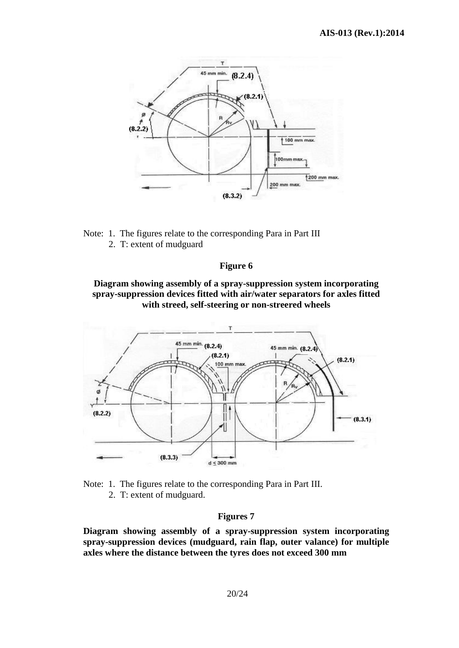

Note: 1. The figures relate to the corresponding Para in Part III 2. T: extent of mudguard

#### **Figure 6**

**Diagram showing assembly of a spray-suppression system incorporating spray-suppression devices fitted with air/water separators for axles fitted with streed, self-steering or non-streered wheels**





2. T: extent of mudguard.

#### **Figures 7**

**Diagram showing assembly of a spray-suppression system incorporating spray-suppression devices (mudguard, rain flap, outer valance) for multiple axles where the distance between the tyres does not exceed 300 mm**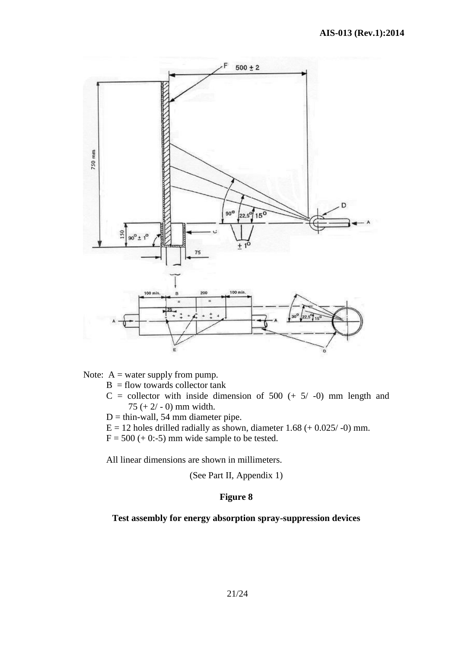

Note:  $A =$  water supply from pump.

- $B =$  flow towards collector tank
- $C =$  collector with inside dimension of 500 (+ 5/ -0) mm length and 75 (+ 2/ - 0) mm width.
- $D =$  thin-wall, 54 mm diameter pipe.
- $E = 12$  holes drilled radially as shown, diameter 1.68 (+ 0.025/-0) mm.
- $F = 500 (+ 0:-5)$  mm wide sample to be tested.

All linear dimensions are shown in millimeters.

(See Part II, Appendix 1)

## **Figure 8**

#### **Test assembly for energy absorption spray-suppression devices**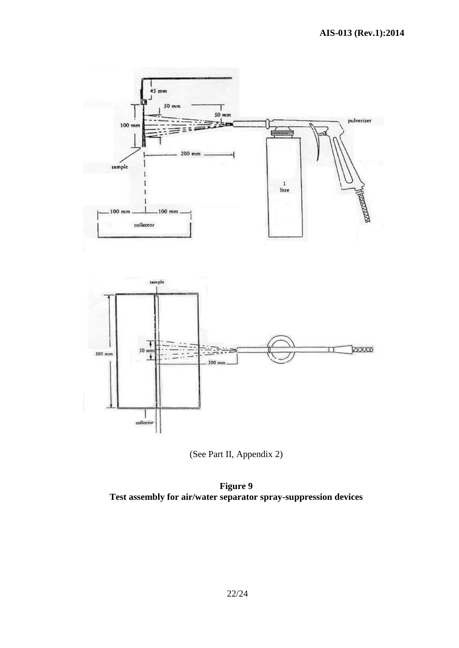



**Figure 9 Test assembly for air/water separator spray-suppression devices**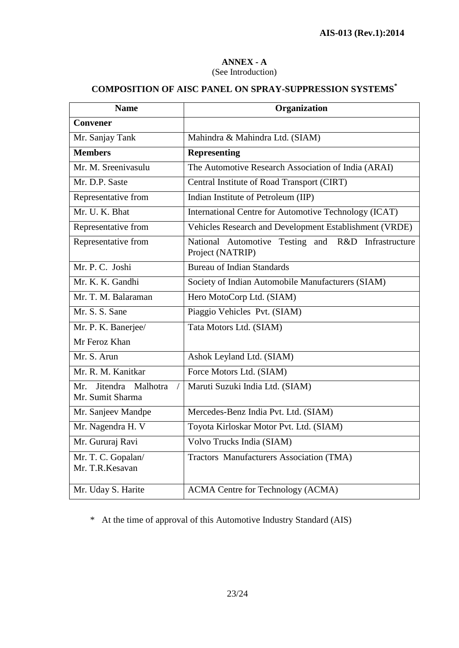#### **ANNEX - A** (See Introduction)

# **COMPOSITION OF AISC PANEL ON SPRAY-SUPPRESSION SYSTEMS\***

| <b>Name</b>                                                    | Organization                                                           |  |  |
|----------------------------------------------------------------|------------------------------------------------------------------------|--|--|
| <b>Convener</b>                                                |                                                                        |  |  |
| Mr. Sanjay Tank                                                | Mahindra & Mahindra Ltd. (SIAM)                                        |  |  |
| <b>Members</b>                                                 | <b>Representing</b>                                                    |  |  |
| Mr. M. Sreenivasulu                                            | The Automotive Research Association of India (ARAI)                    |  |  |
| Mr. D.P. Saste                                                 | Central Institute of Road Transport (CIRT)                             |  |  |
| Representative from                                            | Indian Institute of Petroleum (IIP)                                    |  |  |
| Mr. U. K. Bhat                                                 | International Centre for Automotive Technology (ICAT)                  |  |  |
| Representative from                                            | Vehicles Research and Development Establishment (VRDE)                 |  |  |
| Representative from                                            | National Automotive Testing and R&D Infrastructure<br>Project (NATRIP) |  |  |
| Mr. P. C. Joshi                                                | <b>Bureau of Indian Standards</b>                                      |  |  |
| Mr. K. K. Gandhi                                               | Society of Indian Automobile Manufacturers (SIAM)                      |  |  |
| Mr. T. M. Balaraman                                            | Hero MotoCorp Ltd. (SIAM)                                              |  |  |
| Mr. S. S. Sane                                                 | Piaggio Vehicles Pvt. (SIAM)                                           |  |  |
| Mr. P. K. Banerjee/                                            | Tata Motors Ltd. (SIAM)                                                |  |  |
| Mr Feroz Khan                                                  |                                                                        |  |  |
| Mr. S. Arun                                                    | Ashok Leyland Ltd. (SIAM)                                              |  |  |
| Mr. R. M. Kanitkar                                             | Force Motors Ltd. (SIAM)                                               |  |  |
| Jitendra Malhotra<br>Mr.<br>$\overline{1}$<br>Mr. Sumit Sharma | Maruti Suzuki India Ltd. (SIAM)                                        |  |  |
| Mr. Sanjeev Mandpe                                             | Mercedes-Benz India Pvt. Ltd. (SIAM)                                   |  |  |
| Mr. Nagendra H. V                                              | Toyota Kirloskar Motor Pvt. Ltd. (SIAM)                                |  |  |
| Mr. Gururaj Ravi                                               | Volvo Trucks India (SIAM)                                              |  |  |
| Mr. T. C. Gopalan/<br>Mr. T.R. Kesavan                         | Tractors Manufacturers Association (TMA)                               |  |  |
| Mr. Uday S. Harite                                             | <b>ACMA Centre for Technology (ACMA)</b>                               |  |  |

\* At the time of approval of this Automotive Industry Standard (AIS)